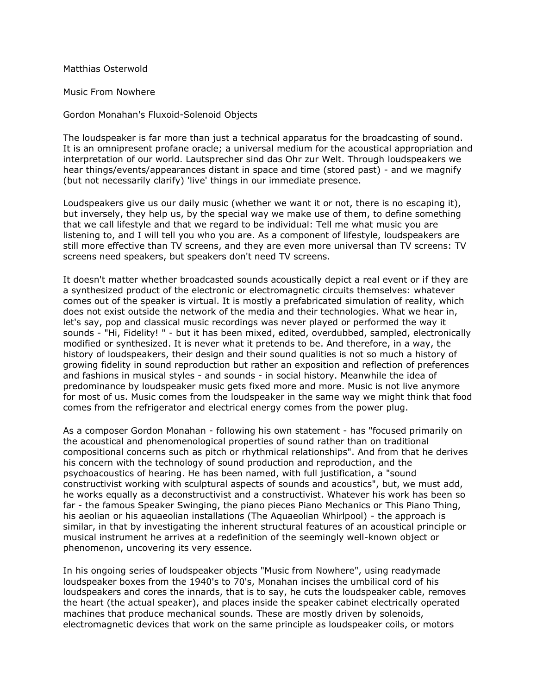Matthias Osterwold

Music From Nowhere

Gordon Monahan's Fluxoid-Solenoid Objects

The loudspeaker is far more than just a technical apparatus for the broadcasting of sound. It is an omnipresent profane oracle; a universal medium for the acoustical appropriation and interpretation of our world. Lautsprecher sind das Ohr zur Welt. Through loudspeakers we hear things/events/appearances distant in space and time (stored past) - and we magnify (but not necessarily clarify) 'live' things in our immediate presence.

Loudspeakers give us our daily music (whether we want it or not, there is no escaping it), but inversely, they help us, by the special way we make use of them, to define something that we call lifestyle and that we regard to be individual: Tell me what music you are listening to, and I will tell you who you are. As a component of lifestyle, loudspeakers are still more effective than TV screens, and they are even more universal than TV screens: TV screens need speakers, but speakers don't need TV screens.

It doesn't matter whether broadcasted sounds acoustically depict a real event or if they are a synthesized product of the electronic or electromagnetic circuits themselves: whatever comes out of the speaker is virtual. It is mostly a prefabricated simulation of reality, which does not exist outside the network of the media and their technologies. What we hear in, let's say, pop and classical music recordings was never played or performed the way it sounds - "Hi, Fidelity! " - but it has been mixed, edited, overdubbed, sampled, electronically modified or synthesized. It is never what it pretends to be. And therefore, in a way, the history of loudspeakers, their design and their sound qualities is not so much a history of growing fidelity in sound reproduction but rather an exposition and reflection of preferences and fashions in musical styles - and sounds - in social history. Meanwhile the idea of predominance by loudspeaker music gets fixed more and more. Music is not live anymore for most of us. Music comes from the loudspeaker in the same way we might think that food comes from the refrigerator and electrical energy comes from the power plug.

As a composer Gordon Monahan - following his own statement - has "focused primarily on the acoustical and phenomenological properties of sound rather than on traditional compositional concerns such as pitch or rhythmical relationships". And from that he derives his concern with the technology of sound production and reproduction, and the psychoacoustics of hearing. He has been named, with full justification, a "sound constructivist working with sculptural aspects of sounds and acoustics", but, we must add, he works equally as a deconstructivist and a constructivist. Whatever his work has been so far - the famous Speaker Swinging, the piano pieces Piano Mechanics or This Piano Thing, his aeolian or his aquaeolian installations (The Aquaeolian Whirlpool) - the approach is similar, in that by investigating the inherent structural features of an acoustical principle or musical instrument he arrives at a redefinition of the seemingly well-known object or phenomenon, uncovering its very essence.

In his ongoing series of loudspeaker objects "Music from Nowhere", using readymade loudspeaker boxes from the 1940's to 70's, Monahan incises the umbilical cord of his loudspeakers and cores the innards, that is to say, he cuts the loudspeaker cable, removes the heart (the actual speaker), and places inside the speaker cabinet electrically operated machines that produce mechanical sounds. These are mostly driven by solenoids, electromagnetic devices that work on the same principle as loudspeaker coils, or motors